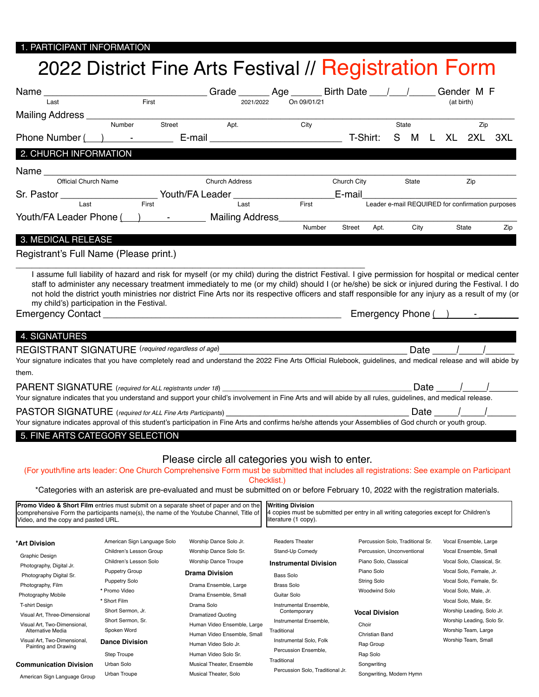## 1. PARTICIPANT INFORMATION

## 2022 District Fine Arts Festival // Registration Form

| Name                                                                                                                                                                                                                                             |        |        |                                                                                                                | Grade ________ Age _______ Birth Date ____/ _____/ Gender M F                                                                           |        |               |      |                                                  |            |              |          |
|--------------------------------------------------------------------------------------------------------------------------------------------------------------------------------------------------------------------------------------------------|--------|--------|----------------------------------------------------------------------------------------------------------------|-----------------------------------------------------------------------------------------------------------------------------------------|--------|---------------|------|--------------------------------------------------|------------|--------------|----------|
| Last                                                                                                                                                                                                                                             | First  |        | 2021/2022                                                                                                      | On 09/01/21                                                                                                                             |        |               |      |                                                  | (at birth) |              |          |
| Mailing Address ____                                                                                                                                                                                                                             | Number | Street | Apt.                                                                                                           | City                                                                                                                                    |        |               |      | State                                            |            | Zip          |          |
| Phone Number $($ $)$ $  -$                                                                                                                                                                                                                       |        |        | E-mail and the contract of the contract of the contract of the contract of the contract of the contract of the |                                                                                                                                         |        | T-Shirt:      |      | S<br>M                                           |            | L XL 2XL 3XL |          |
| 2. CHURCH INFORMATION                                                                                                                                                                                                                            |        |        |                                                                                                                |                                                                                                                                         |        |               |      |                                                  |            |              |          |
| Name                                                                                                                                                                                                                                             |        |        |                                                                                                                |                                                                                                                                         |        |               |      |                                                  |            |              |          |
| <b>Official Church Name</b>                                                                                                                                                                                                                      |        |        | <b>Church Address</b>                                                                                          |                                                                                                                                         |        | Church City   |      | <b>State</b>                                     |            | Zip          |          |
| Sr. Pastor __________________________ Youth/FA Leader __                                                                                                                                                                                         |        |        |                                                                                                                |                                                                                                                                         |        | E-mail        |      |                                                  |            |              |          |
| Last                                                                                                                                                                                                                                             | First  |        | Last                                                                                                           | First                                                                                                                                   |        |               |      | Leader e-mail REQUIRED for confirmation purposes |            |              |          |
|                                                                                                                                                                                                                                                  |        |        |                                                                                                                |                                                                                                                                         | Number |               |      |                                                  |            |              |          |
| 3. MEDICAL RELEASE                                                                                                                                                                                                                               |        |        |                                                                                                                |                                                                                                                                         |        | <b>Street</b> | Apt. | City                                             |            | State        | Zip      |
|                                                                                                                                                                                                                                                  |        |        |                                                                                                                |                                                                                                                                         |        |               |      |                                                  |            |              |          |
| Registrant's Full Name (Please print.)                                                                                                                                                                                                           |        |        |                                                                                                                |                                                                                                                                         |        |               |      |                                                  |            |              |          |
| 4. SIGNATURES<br>REGISTRANT SIGNATURE (required regardless of age)<br>Your signature indicates that you have completely read and understand the 2022 Fine Arts Official Rulebook, guidelines, and medical release and will abide by              |        |        |                                                                                                                |                                                                                                                                         |        |               |      |                                                  |            |              | Date / / |
| them.                                                                                                                                                                                                                                            |        |        |                                                                                                                |                                                                                                                                         |        |               |      |                                                  |            |              |          |
| PARENT SIGNATURE (required for ALL registrants under 18) _______________________<br>Your signature indicates that you understand and support your child's involvement in Fine Arts and will abide by all rules, guidelines, and medical release. |        |        |                                                                                                                |                                                                                                                                         |        |               |      |                                                  |            | Date / /     |          |
| PASTOR SIGNATURE (required for ALL Fine Arts Participants) ______________________                                                                                                                                                                |        |        |                                                                                                                |                                                                                                                                         |        |               |      |                                                  |            | Date / /     |          |
| Your signature indicates approval of this student's participation in Fine Arts and confirms he/she attends your Assemblies of God church or youth group.                                                                                         |        |        |                                                                                                                |                                                                                                                                         |        |               |      |                                                  |            |              |          |
| 5. FINE ARTS CATEGORY SELECTION                                                                                                                                                                                                                  |        |        |                                                                                                                |                                                                                                                                         |        |               |      |                                                  |            |              |          |
|                                                                                                                                                                                                                                                  |        |        |                                                                                                                |                                                                                                                                         |        |               |      |                                                  |            |              |          |
| (For youth/fine arts leader: One Church Comprehensive Form must be submitted that includes all registrations: See example on Participant                                                                                                         |        |        | Please circle all categories you wish to enter.                                                                | Checklist.)                                                                                                                             |        |               |      |                                                  |            |              |          |
| *Categories with an asterisk are pre-evaluated and must be submitted on or before February 10, 2022 with the registration materials.                                                                                                             |        |        |                                                                                                                |                                                                                                                                         |        |               |      |                                                  |            |              |          |
| Promo Video & Short Film entries must submit on a separate sheet of paper and on the<br>comprehensive Form the participants name(s), the name of the Youtube Channel, Title of<br>Video, and the copy and pasted URL.                            |        |        |                                                                                                                | <b>Writing Division</b><br>4 copies must be submitted per entry in all writing categories except for Children's<br>literature (1 copy). |        |               |      |                                                  |            |              |          |

| *Art Division<br>Graphic Design<br>Photography, Digital Jr.<br>Photography Digital Sr.<br>Photography, Film<br>Photography Mobile<br>T-shirt Design<br>Visual Art, Three-Dimensional<br>Visual Art. Two-Dimensional.<br>Alternative Media<br>Visual Art, Two-Dimensional,<br>Painting and Drawing<br><b>Communication Division</b><br>American Sign Language Group | American Sign Language Solo<br>Children's Lesson Group<br>Children's Lesson Solo<br><b>Puppetry Group</b><br><b>Puppetry Solo</b><br>* Promo Video<br>* Short Film<br>Short Sermon, Jr.<br>Short Sermon, Sr.<br>Spoken Word<br><b>Dance Division</b><br>Step Troupe<br>Urban Solo<br>Urban Troupe | Worship Dance Solo Jr.<br>Worship Dance Solo Sr.<br><b>Worship Dance Troupe</b><br>Drama Division<br>Drama Ensemble, Large<br>Drama Ensemble, Small<br>Drama Solo<br><b>Dramatized Quoting</b><br>Human Video Ensemble, Large<br>Human Video Ensemble, Small<br>Human Video Solo Jr.<br>Human Video Solo Sr.<br>Musical Theater, Ensemble<br>Musical Theater, Solo | <b>Readers Theater</b><br>Stand-Up Comedy<br><b>Instrumental Division</b><br>Bass Solo<br><b>Brass Solo</b><br>Guitar Solo<br>Instrumental Ensemble.<br>Contemporary<br>Instrumental Ensemble.<br>Traditional<br>Instrumental Solo, Folk<br>Percussion Ensemble,<br>Traditional<br>Percussion Solo, Traditional Jr. | Percussion Solo, Traditional Sr.<br>Percussion, Unconventional<br>Piano Solo, Classical<br>Piano Solo<br><b>String Solo</b><br>Woodwind Solo<br><b>Vocal Division</b><br>Choir<br>Christian Band<br>Rap Group<br>Rap Solo<br>Songwriting<br>Songwriting, Modern Hymn | Vocal Ensemble, Large<br>Vocal Ensemble, Small<br>Vocal Solo, Classical, Sr.<br>Vocal Solo, Female, Jr.<br>Vocal Solo, Female, Sr.<br>Vocal Solo, Male, Jr.<br>Vocal Solo, Male, Sr.<br>Worship Leading, Solo Jr.<br>Worship Leading, Solo Sr.<br>Worship Team, Large<br>Worship Team, Small |
|--------------------------------------------------------------------------------------------------------------------------------------------------------------------------------------------------------------------------------------------------------------------------------------------------------------------------------------------------------------------|---------------------------------------------------------------------------------------------------------------------------------------------------------------------------------------------------------------------------------------------------------------------------------------------------|--------------------------------------------------------------------------------------------------------------------------------------------------------------------------------------------------------------------------------------------------------------------------------------------------------------------------------------------------------------------|---------------------------------------------------------------------------------------------------------------------------------------------------------------------------------------------------------------------------------------------------------------------------------------------------------------------|----------------------------------------------------------------------------------------------------------------------------------------------------------------------------------------------------------------------------------------------------------------------|----------------------------------------------------------------------------------------------------------------------------------------------------------------------------------------------------------------------------------------------------------------------------------------------|
|--------------------------------------------------------------------------------------------------------------------------------------------------------------------------------------------------------------------------------------------------------------------------------------------------------------------------------------------------------------------|---------------------------------------------------------------------------------------------------------------------------------------------------------------------------------------------------------------------------------------------------------------------------------------------------|--------------------------------------------------------------------------------------------------------------------------------------------------------------------------------------------------------------------------------------------------------------------------------------------------------------------------------------------------------------------|---------------------------------------------------------------------------------------------------------------------------------------------------------------------------------------------------------------------------------------------------------------------------------------------------------------------|----------------------------------------------------------------------------------------------------------------------------------------------------------------------------------------------------------------------------------------------------------------------|----------------------------------------------------------------------------------------------------------------------------------------------------------------------------------------------------------------------------------------------------------------------------------------------|